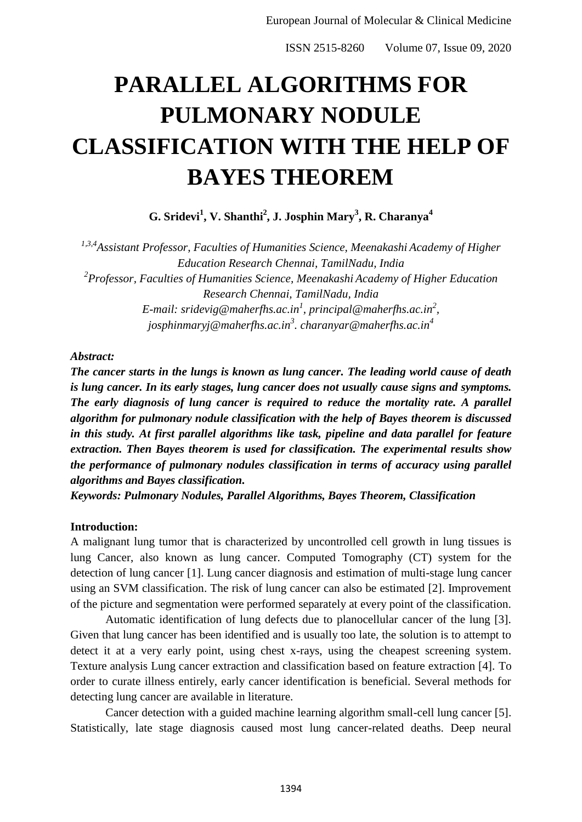ISSN 2515-8260 Volume 07, Issue 09, 2020

# **PARALLEL ALGORITHMS FOR PULMONARY NODULE CLASSIFICATION WITH THE HELP OF BAYES THEOREM**

**G. Sridevi<sup>1</sup> , V. Shanthi<sup>2</sup> , J. Josphin Mary<sup>3</sup> , R. Charanya<sup>4</sup>**

*1,3,4Assistant Professor, Faculties of Humanities Science, Meenakashi Academy of Higher Education Research Chennai, TamilNadu, India 2 Professor, Faculties of Humanities Science, Meenakashi Academy of Higher Education Research Chennai, TamilNadu, India E-mail: sridevig@maherfhs.ac.in<sup>1</sup> , principal@maherfhs.ac.in<sup>2</sup> , josphinmaryj@maherfhs.ac.in<sup>3</sup> . charanyar@maherfhs.ac.in<sup>4</sup>*

## *Abstract:*

*The cancer starts in the lungs is known as lung cancer. The leading world cause of death is lung cancer. In its early stages, lung cancer does not usually cause signs and symptoms. The early diagnosis of lung cancer is required to reduce the mortality rate. A parallel algorithm for pulmonary nodule classification with the help of Bayes theorem is discussed in this study. At first parallel algorithms like task, pipeline and data parallel for feature extraction. Then Bayes theorem is used for classification. The experimental results show the performance of pulmonary nodules classification in terms of accuracy using parallel algorithms and Bayes classification.*

*Keywords: Pulmonary Nodules, Parallel Algorithms, Bayes Theorem, Classification*

## **Introduction:**

A malignant lung tumor that is characterized by uncontrolled cell growth in lung tissues is lung Cancer, also known as lung cancer. Computed Tomography (CT) system for the detection of lung cancer [1]. Lung cancer diagnosis and estimation of multi-stage lung cancer using an SVM classification. The risk of lung cancer can also be estimated [2]. Improvement of the picture and segmentation were performed separately at every point of the classification.

Automatic identification of lung defects due to planocellular cancer of the lung [3]. Given that lung cancer has been identified and is usually too late, the solution is to attempt to detect it at a very early point, using chest x-rays, using the cheapest screening system. Texture analysis Lung cancer extraction and classification based on feature extraction [4]. To order to curate illness entirely, early cancer identification is beneficial. Several methods for detecting lung cancer are available in literature.

Cancer detection with a guided machine learning algorithm small-cell lung cancer [5]. Statistically, late stage diagnosis caused most lung cancer-related deaths. Deep neural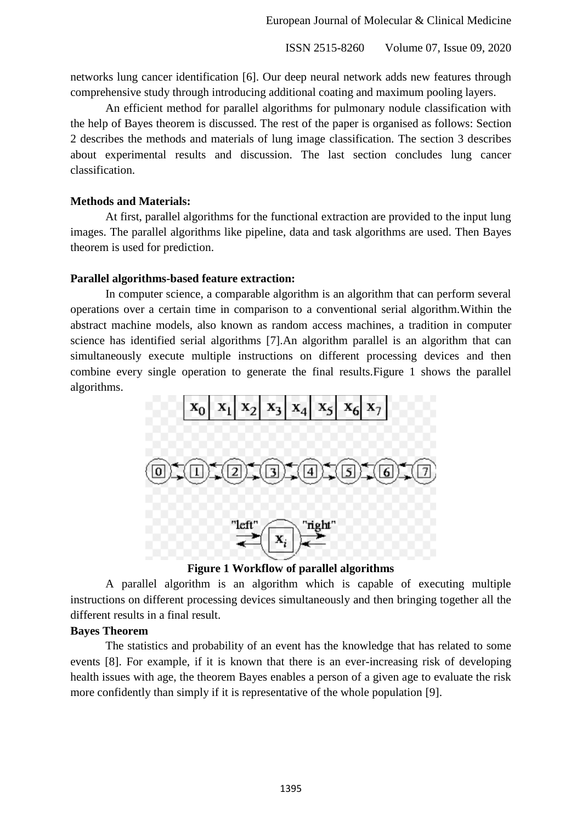ISSN 2515-8260 Volume 07, Issue 09, 2020

networks lung cancer identification [6]. Our deep neural network adds new features through comprehensive study through introducing additional coating and maximum pooling layers.

An efficient method for parallel algorithms for pulmonary nodule classification with the help of Bayes theorem is discussed. The rest of the paper is organised as follows: Section 2 describes the methods and materials of lung image classification. The section 3 describes about experimental results and discussion. The last section concludes lung cancer classification.

## **Methods and Materials:**

At first, parallel algorithms for the functional extraction are provided to the input lung images. The parallel algorithms like pipeline, data and task algorithms are used. Then Bayes theorem is used for prediction.

#### **Parallel algorithms-based feature extraction:**

In computer science, a comparable algorithm is an algorithm that can perform several operations over a certain time in comparison to a conventional serial algorithm.Within the abstract machine models, also known as random access machines, a tradition in computer science has identified serial algorithms [7].An algorithm parallel is an algorithm that can simultaneously execute multiple instructions on different processing devices and then combine every single operation to generate the final results.Figure 1 shows the parallel algorithms.



**Figure 1 Workflow of parallel algorithms**

A parallel algorithm is an algorithm which is capable of executing multiple instructions on different processing devices simultaneously and then bringing together all the different results in a final result.

## **Bayes Theorem**

The statistics and probability of an event has the knowledge that has related to some events [8]. For example, if it is known that there is an ever-increasing risk of developing health issues with age, the theorem Bayes enables a person of a given age to evaluate the risk more confidently than simply if it is representative of the whole population [9].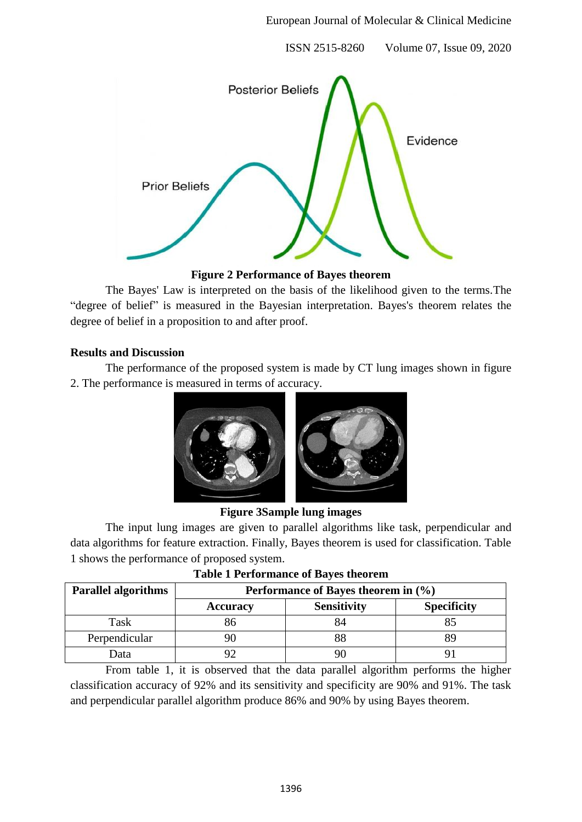ISSN 2515-8260 Volume 07, Issue 09, 2020



**Figure 2 Performance of Bayes theorem**

The Bayes' Law is interpreted on the basis of the likelihood given to the terms.The "degree of belief" is measured in the Bayesian interpretation. Bayes's theorem relates the degree of belief in a proposition to and after proof.

## **Results and Discussion**

The performance of the proposed system is made by CT lung images shown in figure 2. The performance is measured in terms of accuracy.





The input lung images are given to parallel algorithms like task, perpendicular and data algorithms for feature extraction. Finally, Bayes theorem is used for classification. Table 1 shows the performance of proposed system.

| <b>Parallel algorithms</b> | Performance of Bayes theorem in (%) |                    |                    |
|----------------------------|-------------------------------------|--------------------|--------------------|
|                            | <b>Accuracy</b>                     | <b>Sensitivity</b> | <b>Specificity</b> |
| Task                       |                                     | 84                 |                    |
| Perpendicular              |                                     |                    |                    |
| <b>D</b> ata               |                                     |                    |                    |

|  | <b>Table 1 Performance of Bayes theorem</b> |  |  |
|--|---------------------------------------------|--|--|
|--|---------------------------------------------|--|--|

From table 1, it is observed that the data parallel algorithm performs the higher classification accuracy of 92% and its sensitivity and specificity are 90% and 91%. The task and perpendicular parallel algorithm produce 86% and 90% by using Bayes theorem.